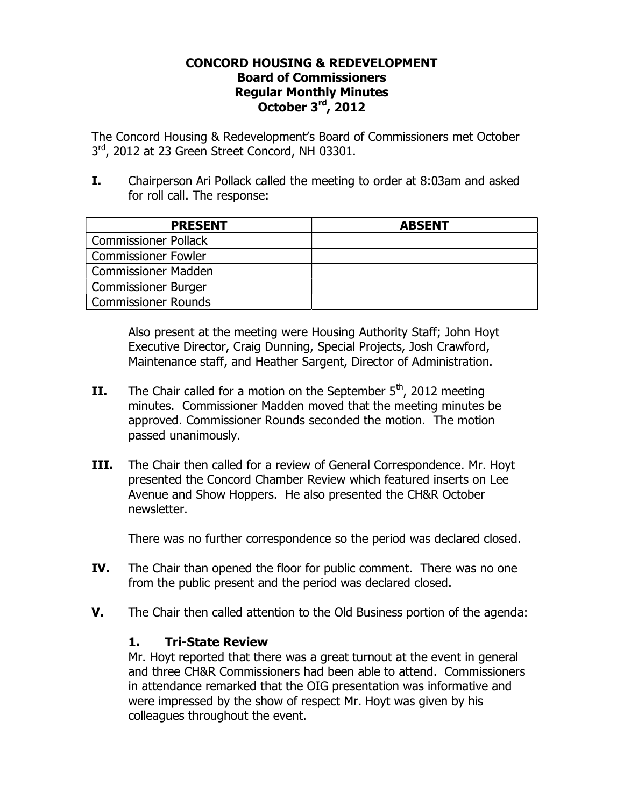## **CONCORD HOUSING & REDEVELOPMENT Board of Commissioners Regular Monthly Minutes October 3rd, 2012**

The Concord Housing & Redevelopment's Board of Commissioners met October  $3<sup>rd</sup>$ , 2012 at 23 Green Street Concord, NH 03301.

**I.** Chairperson Ari Pollack called the meeting to order at 8:03am and asked for roll call. The response:

| <b>PRESENT</b>              | <b>ABSENT</b> |
|-----------------------------|---------------|
| <b>Commissioner Pollack</b> |               |
| <b>Commissioner Fowler</b>  |               |
| <b>Commissioner Madden</b>  |               |
| <b>Commissioner Burger</b>  |               |
| Commissioner Rounds         |               |

Also present at the meeting were Housing Authority Staff; John Hoyt Executive Director, Craig Dunning, Special Projects, Josh Crawford, Maintenance staff, and Heather Sargent, Director of Administration.

- **II.** The Chair called for a motion on the September  $5<sup>th</sup>$ , 2012 meeting minutes. Commissioner Madden moved that the meeting minutes be approved. Commissioner Rounds seconded the motion. The motion passed unanimously.
- **III.** The Chair then called for a review of General Correspondence. Mr. Hoyt presented the Concord Chamber Review which featured inserts on Lee Avenue and Show Hoppers. He also presented the CH&R October newsletter.

There was no further correspondence so the period was declared closed.

- **IV.** The Chair than opened the floor for public comment. There was no one from the public present and the period was declared closed.
- **V.** The Chair then called attention to the Old Business portion of the agenda:

## **1. Tri-State Review**

Mr. Hoyt reported that there was a great turnout at the event in general and three CH&R Commissioners had been able to attend. Commissioners in attendance remarked that the OIG presentation was informative and were impressed by the show of respect Mr. Hoyt was given by his colleagues throughout the event.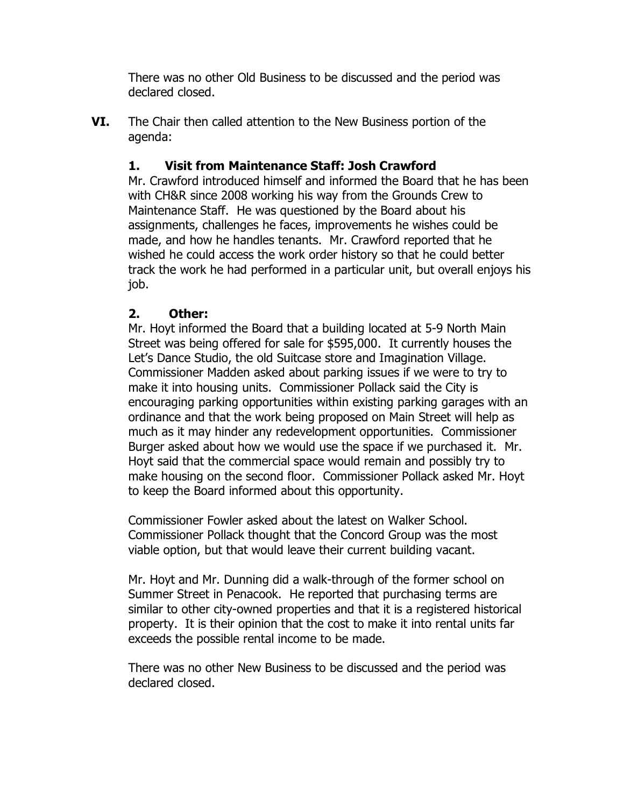There was no other Old Business to be discussed and the period was declared closed.

**VI.** The Chair then called attention to the New Business portion of the agenda:

## **1. Visit from Maintenance Staff: Josh Crawford**

Mr. Crawford introduced himself and informed the Board that he has been with CH&R since 2008 working his way from the Grounds Crew to Maintenance Staff. He was questioned by the Board about his assignments, challenges he faces, improvements he wishes could be made, and how he handles tenants. Mr. Crawford reported that he wished he could access the work order history so that he could better track the work he had performed in a particular unit, but overall enjoys his job.

## **2. Other:**

Mr. Hoyt informed the Board that a building located at 5-9 North Main Street was being offered for sale for \$595,000. It currently houses the Let's Dance Studio, the old Suitcase store and Imagination Village. Commissioner Madden asked about parking issues if we were to try to make it into housing units. Commissioner Pollack said the City is encouraging parking opportunities within existing parking garages with an ordinance and that the work being proposed on Main Street will help as much as it may hinder any redevelopment opportunities. Commissioner Burger asked about how we would use the space if we purchased it. Mr. Hoyt said that the commercial space would remain and possibly try to make housing on the second floor. Commissioner Pollack asked Mr. Hoyt to keep the Board informed about this opportunity.

Commissioner Fowler asked about the latest on Walker School. Commissioner Pollack thought that the Concord Group was the most viable option, but that would leave their current building vacant.

Mr. Hoyt and Mr. Dunning did a walk-through of the former school on Summer Street in Penacook. He reported that purchasing terms are similar to other city-owned properties and that it is a registered historical property. It is their opinion that the cost to make it into rental units far exceeds the possible rental income to be made.

There was no other New Business to be discussed and the period was declared closed.